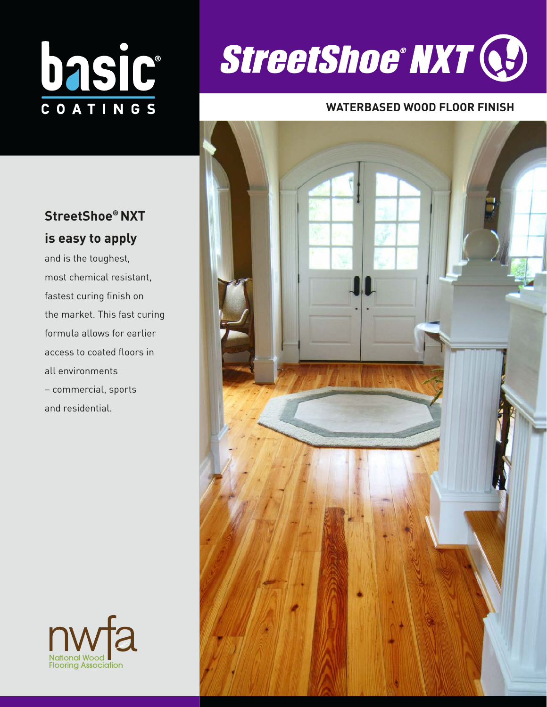# DASIC

# **StreetShoe**® **NXT is easy to apply**

and is the toughest, most chemical resistant, fastest curing finish on the market. This fast curing formula allows for earlier access to coated floors in all environments – commercial, sports and residential.





## **WATERBASED WOOD FLOOR FINISH**